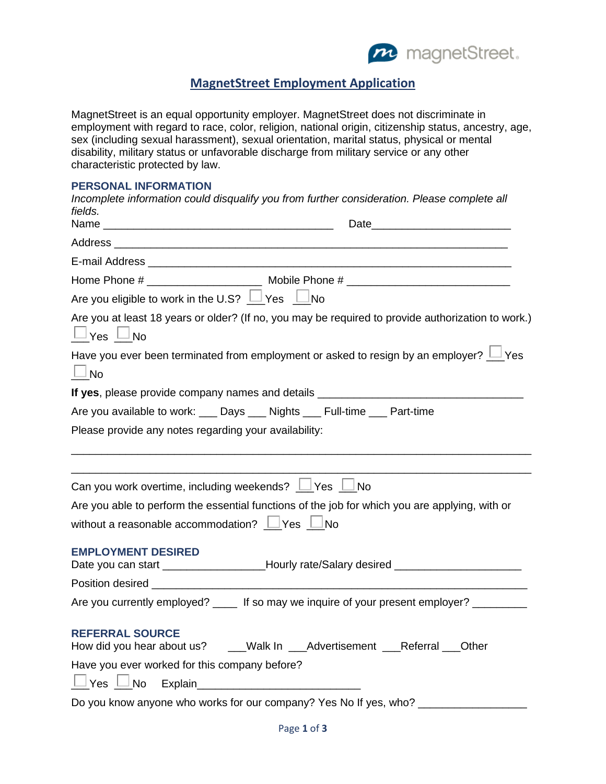

## **MagnetStreet Employment Application**

MagnetStreet is an equal opportunity employer. MagnetStreet does not discriminate in employment with regard to race, color, religion, national origin, citizenship status, ancestry, age, sex (including sexual harassment), sexual orientation, marital status, physical or mental disability, military status or unfavorable discharge from military service or any other characteristic protected by law.

## **PERSONAL INFORMATION**

| Incomplete information could disqualify you from further consideration. Please complete all<br>fields.                     |  |  |  |  |
|----------------------------------------------------------------------------------------------------------------------------|--|--|--|--|
|                                                                                                                            |  |  |  |  |
|                                                                                                                            |  |  |  |  |
|                                                                                                                            |  |  |  |  |
|                                                                                                                            |  |  |  |  |
| Are you eligible to work in the U.S? $\Box$ Yes $\Box$ No                                                                  |  |  |  |  |
| Are you at least 18 years or older? (If no, you may be required to provide authorization to work.)<br>$\Box$ Yes $\Box$ No |  |  |  |  |
| Have you ever been terminated from employment or asked to resign by an employer? $\Box$ Yes<br>$\Box$ No                   |  |  |  |  |
| If yes, please provide company names and details _______________________________                                           |  |  |  |  |
| Are you available to work: ___ Days ___ Nights ___ Full-time ___ Part-time                                                 |  |  |  |  |
| Please provide any notes regarding your availability:                                                                      |  |  |  |  |
|                                                                                                                            |  |  |  |  |
| Can you work overtime, including weekends? $\Box$ Yes $\Box$ No                                                            |  |  |  |  |
| Are you able to perform the essential functions of the job for which you are applying, with or                             |  |  |  |  |
| without a reasonable accommodation? $\Box$ Yes $\Box$ No                                                                   |  |  |  |  |
| <b>EMPLOYMENT DESIRED</b><br>Date you can start ____________________Hourly rate/Salary desired _______________             |  |  |  |  |
|                                                                                                                            |  |  |  |  |
| Are you currently employed? ____ If so may we inquire of your present employer? _______                                    |  |  |  |  |
| <b>REFERRAL SOURCE</b><br>How did you hear about us? ____Walk In ___Advertisement ___Referral ___Other                     |  |  |  |  |
| Have you ever worked for this company before?                                                                              |  |  |  |  |
|                                                                                                                            |  |  |  |  |
| Do you know anyone who works for our company? Yes No If yes, who?                                                          |  |  |  |  |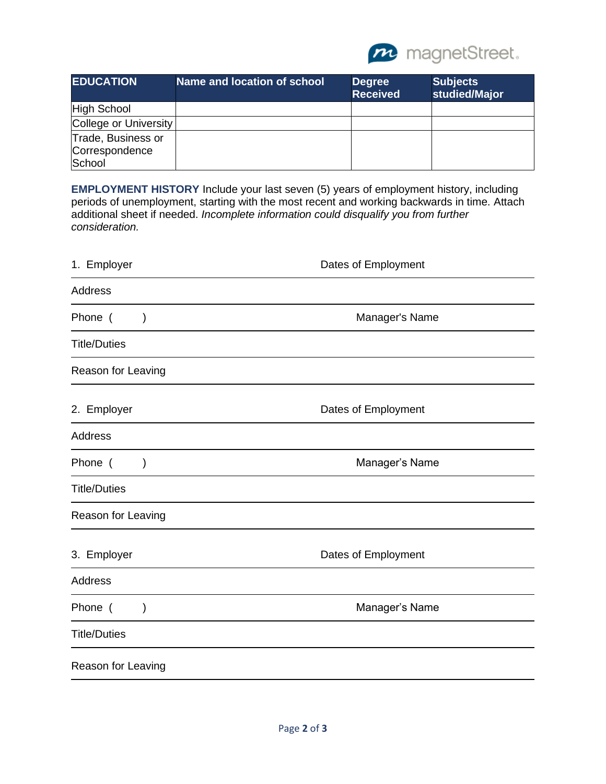

| <b>EDUCATION</b>                               | Name and location of school | <b>Degree</b><br><b>Received</b> | <b>Subjects</b><br>studied/Major |
|------------------------------------------------|-----------------------------|----------------------------------|----------------------------------|
| High School                                    |                             |                                  |                                  |
| College or University                          |                             |                                  |                                  |
| Trade, Business or<br>Correspondence<br>School |                             |                                  |                                  |

**EMPLOYMENT HISTORY** Include your last seven (5) years of employment history, including periods of unemployment, starting with the most recent and working backwards in time. Attach additional sheet if needed. *Incomplete information could disqualify you from further consideration.*

| 1. Employer              | Dates of Employment |  |  |
|--------------------------|---------------------|--|--|
| <b>Address</b>           |                     |  |  |
| Phone (<br>$\mathcal{E}$ | Manager's Name      |  |  |
| <b>Title/Duties</b>      |                     |  |  |
| Reason for Leaving       |                     |  |  |
| 2. Employer              | Dates of Employment |  |  |
| <b>Address</b>           |                     |  |  |
| Phone (<br>$\mathcal{E}$ | Manager's Name      |  |  |
| <b>Title/Duties</b>      |                     |  |  |
| Reason for Leaving       |                     |  |  |
| 3. Employer              | Dates of Employment |  |  |
| <b>Address</b>           |                     |  |  |
| Phone (<br>)             | Manager's Name      |  |  |
| <b>Title/Duties</b>      |                     |  |  |
| Reason for Leaving       |                     |  |  |